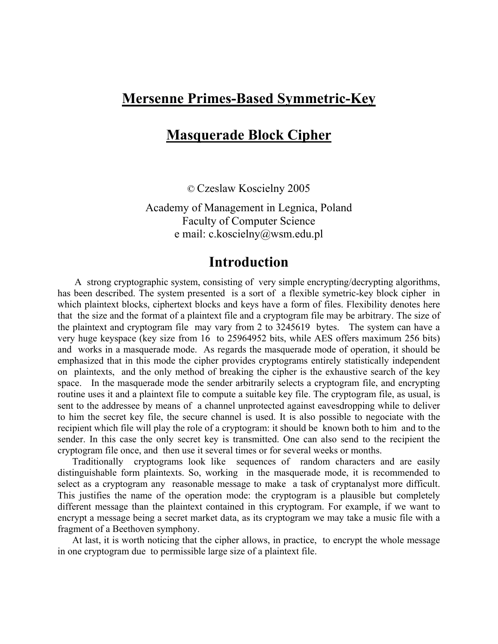### **Mersenne Primes-Based Symmetric-Key**

## **Masquerade Block Cipher**

© Czeslaw Koscielny 2005

Academy of Management in Legnica, Poland Faculty of Computer Science e mail: c.koscielny@wsm.edu.pl

### **Introduction**

 A strong cryptographic system, consisting of very simple encrypting/decrypting algorithms, has been described. The system presented is a sort of a flexible symetric-key block cipher in which plaintext blocks, ciphertext blocks and keys have a form of files. Flexibility denotes here that the size and the format of a plaintext file and a cryptogram file may be arbitrary. The size of the plaintext and cryptogram file may vary from 2 to 3245619 bytes. The system can have a very huge keyspace (key size from 16 to 25964952 bits, while AES offers maximum 256 bits) and works in a masquerade mode. As regards the masquerade mode of operation, it should be emphasized that in this mode the cipher provides cryptograms entirely statistically independent on plaintexts, and the only method of breaking the cipher is the exhaustive search of the key space. In the masquerade mode the sender arbitrarily selects a cryptogram file, and encrypting routine uses it and a plaintext file to compute a suitable key file. The cryptogram file, as usual, is sent to the addressee by means of a channel unprotected against eavesdropping while to deliver to him the secret key file, the secure channel is used. It is also possible to negociate with the recipient which file will play the role of a cryptogram: it should be known both to him and to the sender. In this case the only secret key is transmitted. One can also send to the recipient the cryptogram file once, and then use it several times or for several weeks or months.

 Traditionally cryptograms look like sequences of random characters and are easily distinguishable form plaintexts. So, working in the masquerade mode, it is recommended to select as a cryptogram any reasonable message to make a task of cryptanalyst more difficult. This justifies the name of the operation mode: the cryptogram is a plausible but completely different message than the plaintext contained in this cryptogram. For example, if we want to encrypt a message being a secret market data, as its cryptogram we may take a music file with a fragment of a Beethoven symphony.

 At last, it is worth noticing that the cipher allows, in practice, to encrypt the whole message in one cryptogram due to permissible large size of a plaintext file.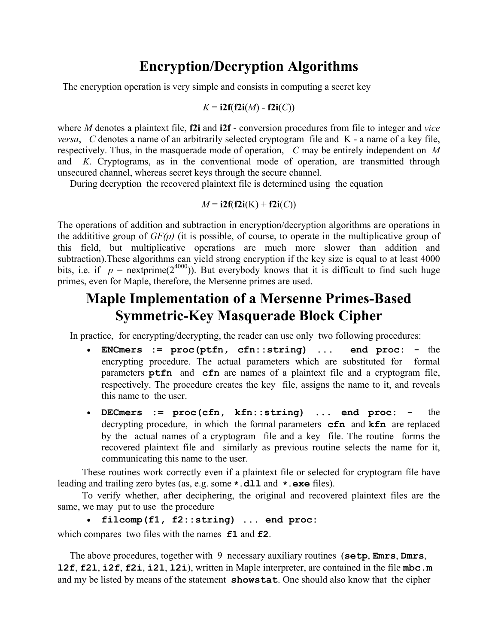# **Encryption/Decryption Algorithms**

The encryption operation is very simple and consists in computing a secret key

$$
K = i2f(f2i(M) - f2i(C))
$$

where *M* denotes a plaintext file, **f2i** and **i2f** - conversion procedures from file to integer and *vice versa*, *C* denotes a name of an arbitrarily selected cryptogram file and K - a name of a key file, respectively. Thus, in the masquerade mode of operation, *C* may be entirely independent on *M* and *K*. Cryptograms, as in the conventional mode of operation, are transmitted through unsecured channel, whereas secret keys through the secure channel.

During decryption the recovered plaintext file is determined using the equation

$$
M = i2f(f2i(K) + f2i(C))
$$

The operations of addition and subtraction in encryption/decryption algorithms are operations in the addititive group of *GF(p)* (it is possible, of course, to operate in the multiplicative group of this field, but multiplicative operations are much more slower than addition and subtraction).These algorithms can yield strong encryption if the key size is equal to at least 4000 bits, i.e. if  $p =$  nextprime(2<sup>4000</sup>)). But everybody knows that it is difficult to find such huge primes, even for Maple, therefore, the Mersenne primes are used.

## **Maple Implementation of a Mersenne Primes-Based Symmetric-Key Masquerade Block Cipher**

In practice, for encrypting/decrypting, the reader can use only two following procedures:

- **ENCmers := proc(ptfn, cfn::string) ... end proc:** the encrypting procedure. The actual parameters which are substituted for formal parameters **ptfn** and **cfn** are names of a plaintext file and a cryptogram file, respectively. The procedure creates the key file, assigns the name to it, and reveals this name to the user.
- **DECmers := proc(cfn, kfn::string) ... end proc:** the decrypting procedure, in which the formal parameters **cfn** and **kfn** are replaced by the actual names of a cryptogram file and a key file. The routine forms the recovered plaintext file and similarly as previous routine selects the name for it, communicating this name to the user.

 These routines work correctly even if a plaintext file or selected for cryptogram file have leading and trailing zero bytes (as, e.g. some **\*.dll** and **\*.exe** files).

 To verify whether, after deciphering, the original and recovered plaintext files are the same, we may put to use the procedure

```
• filcomp(f1, f2::string) ... end proc:
```
which compares two files with the names **f1** and **f2**.

 The above procedures, together with 9 necessary auxiliary routines (**setp**, **Emrs**, **Dmrs**, **l2f**, **f2l**, **i2f**, **f2i**, **i2l**, **l2i**), written in Maple interpreter, are contained in the file **mbc.m** and my be listed by means of the statement **showstat**. One should also know that the cipher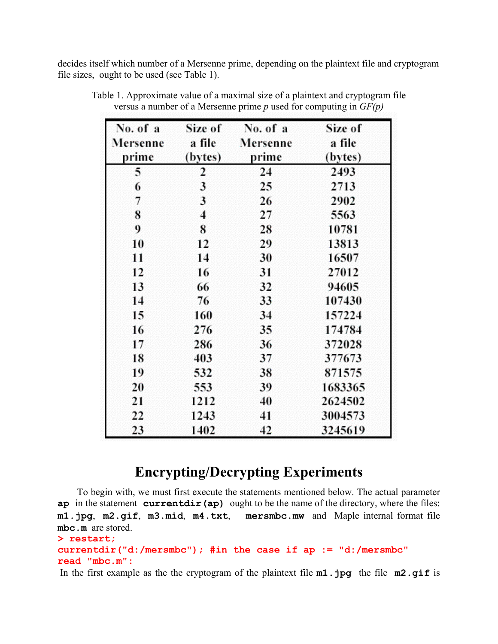decides itself which number of a Mersenne prime, depending on the plaintext file and cryptogram file sizes, ought to be used (see Table 1).

| No. of a | Size of | No. of a | Size of |
|----------|---------|----------|---------|
| Mersenne | a file  | Mersenne | a file  |
| prime    | (bytes) | prime    | (bytes) |
| 5        | 2       | 24       | 2493    |
| 6        | 3       | 25       | 2713    |
| 7        | 3       | 26       | 2902    |
| 8        | 4       | 27       | 5563    |
| 9        | 8       | 28       | 10781   |
| 10       | 12      | 29       | 13813   |
| 11       | 14      | 30       | 16507   |
| 12       | 16      | 31       | 27012   |
| 13       | 66      | 32       | 94605   |
| 14       | 76      | 33       | 107430  |
| 15       | 160     | 34       | 157224  |
| 16       | 276     | 35       | 174784  |
| 17       | 286     | 36       | 372028  |
| 18       | 403     | 37       | 377673  |
| 19       | 532     | 38       | 871575  |
| 20       | 553     | 39       | 1683365 |
| 21       | 1212    | 40       | 2624502 |
| 22       | 1243    | 41       | 3004573 |
| 23       | 1402    | 42       | 3245619 |

Table 1. Approximate value of a maximal size of a plaintext and cryptogram file versus a number of a Mersenne prime *p* used for computing in *GF(p)*

## **Encrypting/Decrypting Experiments**

 To begin with, we must first execute the statements mentioned below. The actual parameter **ap** in the statement **currentdir(ap)** ought to be the name of the directory, where the files: **m1.jpg**, **m2.gif**, **m3.mid**, **m4.txt**, **mersmbc.mw** and Maple internal format file **mbc.m** are stored.

```
> restart;
```
#### **currentdir("d:/mersmbc"); #in the case if ap := "d:/mersmbc" read "mbc.m":**

In the first example as the the cryptogram of the plaintext file **m1.jpg** the file **m2.gif** is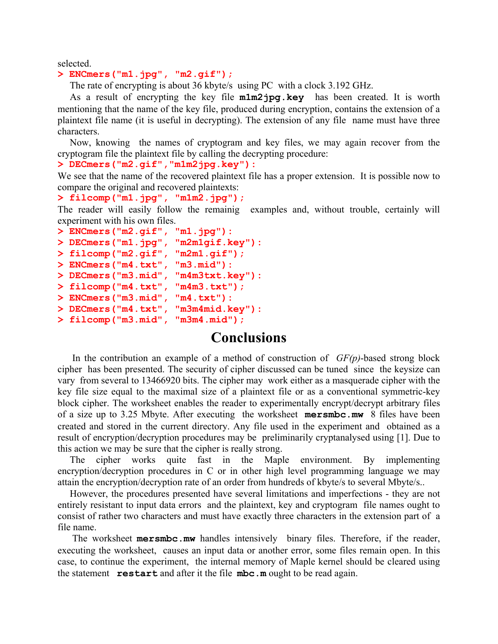selected.

#### **> ENCmers("m1.jpg", "m2.gif");**

The rate of encrypting is about 36 kbyte/s using PC with a clock 3.192 GHz.

 As a result of encrypting the key file **m1m2jpg.key** has been created. It is worth mentioning that the name of the key file, produced during encryption, contains the extension of a plaintext file name (it is useful in decrypting). The extension of any file name must have three characters.

 Now, knowing the names of cryptogram and key files, we may again recover from the cryptogram file the plaintext file by calling the decrypting procedure:

**> DECmers("m2.gif","m1m2jpg.key"):**

We see that the name of the recovered plaintext file has a proper extension. It is possible now to compare the original and recovered plaintexts:

```
> filcomp("m1.jpg", "m1m2.jpg");
```
The reader will easily follow the remainig examples and, without trouble, certainly will experiment with his own files.

```
> ENCmers("m2.gif", "m1.jpg"):
> DECmers("m1.jpg", "m2m1gif.key"):
> filcomp("m2.gif", "m2m1.gif");
> ENCmers("m4.txt", "m3.mid"):
> DECmers("m3.mid", "m4m3txt.key"):
> filcomp("m4.txt", "m4m3.txt");
> ENCmers("m3.mid", "m4.txt"):
> DECmers("m4.txt", "m3m4mid.key"):
> filcomp("m3.mid", "m3m4.mid");
```
### **Conclusions**

 In the contribution an example of a method of construction of *GF(p)*-based strong block cipher has been presented. The security of cipher discussed can be tuned since the keysize can vary from several to 13466920 bits. The cipher may work either as a masquerade cipher with the key file size equal to the maximal size of a plaintext file or as a conventional symmetric-key block cipher. The worksheet enables the reader to experimentally encrypt/decrypt arbitrary files of a size up to 3.25 Mbyte. After executing the worksheet **mersmbc.mw** 8 files have been created and stored in the current directory. Any file used in the experiment and obtained as a result of encryption/decryption procedures may be preliminarily cryptanalysed using [1]. Due to this action we may be sure that the cipher is really strong.

 The cipher works quite fast in the Maple environment. By implementing encryption/decryption procedures in C or in other high level programming language we may attain the encryption/decryption rate of an order from hundreds of kbyte/s to several Mbyte/s..

 However, the procedures presented have several limitations and imperfections - they are not entirely resistant to input data errors and the plaintext, key and cryptogram file names ought to consist of rather two characters and must have exactly three characters in the extension part of a file name.

 The worksheet **mersmbc.mw** handles intensively binary files. Therefore, if the reader, executing the worksheet, causes an input data or another error, some files remain open. In this case, to continue the experiment, the internal memory of Maple kernel should be cleared using the statement **restart** and after it the file **mbc.m** ought to be read again.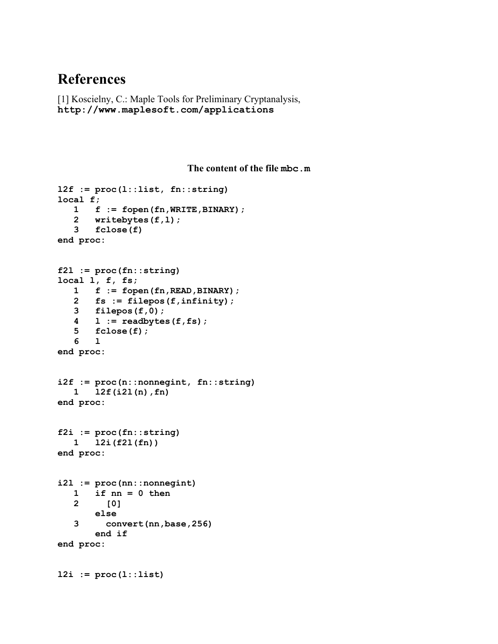## **References**

[1] Koscielny, C.: Maple Tools for Preliminary Cryptanalysis, **http://www.maplesoft.com/applications**

```
The content of the file mbc.m
```

```
l2f := proc(l::list, fn::string) 
local f; 
    1 f := fopen(fn,WRITE,BINARY); 
    2 writebytes(f,l); 
    3 fclose(f) 
end proc: 
f2l := proc(fn::string) 
local l, f, fs; 
    1 f := fopen(fn,READ,BINARY); 
    2 fs := filepos(f,infinity); 
    3 filepos(f,0); 
    4 l := readbytes(f,fs); 
    5 fclose(f); 
    6 l 
end proc: 
i2f := proc(n::nonnegint, fn::string) 
    1 l2f(i2l(n),fn) 
end proc: 
f2i := proc(fn::string) 
    1 l2i(f2l(fn)) 
end proc: 
i2l := proc(nn::nonnegint) 
    1 if nn = 0 then 
    2 [0] 
        else 
    3 convert(nn,base,256) 
        end if 
end proc: 
l2i := proc(l::list)
```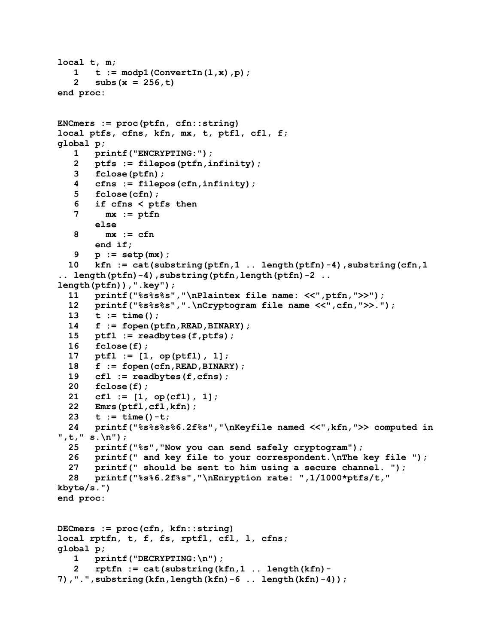```
local t, m; 
   1 t := modp1 (ConvertIn(1,x), p) ;
    2 subs(x = 256,t) 
end proc: 
ENCmers := proc(ptfn, cfn::string) 
local ptfs, cfns, kfn, mx, t, ptfl, cfl, f; 
global p; 
    1 printf("ENCRYPTING:"); 
    2 ptfs := filepos(ptfn,infinity); 
    3 fclose(ptfn); 
    4 cfns := filepos(cfn,infinity); 
    5 fclose(cfn); 
    6 if cfns < ptfs then 
    7 mx := ptfn 
        else 
    8 mx := cfn 
        end if; 
    9 p := setp(mx); 
   10 kfn := cat(substring(ptfn,1 .. length(ptfn)-4),substring(cfn,1 
.. length(ptfn)-4),substring(ptfn,length(ptfn)-2 .. 
length(ptfn)),".key"); 
   11 printf("%s%s%s","\nPlaintex file name: <<",ptfn,">>"); 
   12 printf("%s%s%s",".\nCryptogram file name <<",cfn,">>."); 
   13 t := time(); 
   14 f := fopen(ptfn,READ,BINARY); 
   15 ptfl := readbytes(f,ptfs); 
   16 fclose(f); 
   17 ptfl := [1, op(ptfl), 1]; 
   18 f := fopen(cfn,READ,BINARY); 
   19 cfl := readbytes(f,cfns); 
   20 fclose(f); 
   21 cfl := [1, op(cfl), 1]; 
   22 Emrs(ptfl,cfl,kfn); 
   23 t := time()-t; 
   24 printf("%s%s%s%6.2f%s","\nKeyfile named <<",kfn,">> computed in 
",t," s.\n"); 
   25 printf("%s","Now you can send safely cryptogram"); 
   26 printf(" and key file to your correspondent.\nThe key file "); 
   27 printf(" should be sent to him using a secure channel. "); 
   28 printf("%s%6.2f%s","\nEnryption rate: ",1/1000*ptfs/t," 
kbyte/s.") 
end proc: 
DECmers := proc(cfn, kfn::string) 
local rptfn, t, f, fs, rptfl, cfl, l, cfns; 
global p; 
    1 printf("DECRYPTING:\n"); 
    2 rptfn := cat(substring(kfn,1 .. length(kfn)-
7),".",substring(kfn,length(kfn)-6 .. length(kfn)-4));
```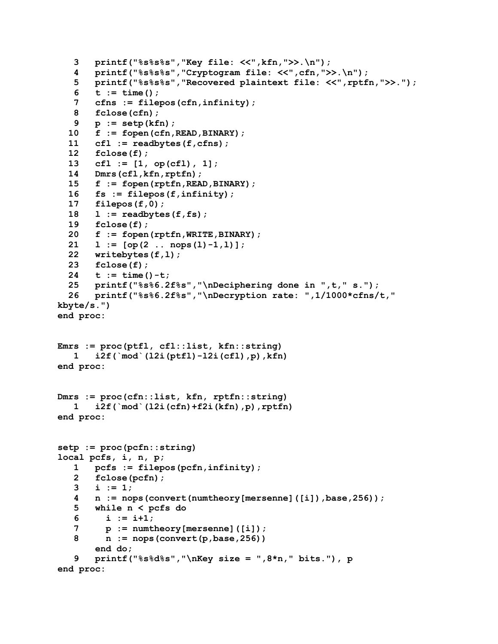```
 3 printf("%s%s%s","Key file: <<",kfn,">>.\n"); 
    4 printf("%s%s%s","Cryptogram file: <<",cfn,">>.\n"); 
    5 printf("%s%s%s","Recovered plaintext file: <<",rptfn,">>."); 
    6 t := time(); 
    7 cfns := filepos(cfn,infinity); 
    8 fclose(cfn); 
    9 p := setp(kfn); 
   10 f := fopen(cfn,READ,BINARY); 
   11 cfl := readbytes(f,cfns); 
   12 fclose(f); 
   13 cfl := [1, op(cfl), 1]; 
   14 Dmrs(cfl,kfn,rptfn); 
   15 f := fopen(rptfn,READ,BINARY); 
   16 fs := filepos(f,infinity); 
   17 filepos(f,0); 
   18 l := readbytes(f,fs); 
   19 fclose(f); 
   20 f := fopen(rptfn,WRITE,BINARY); 
   21 l := [op(2 .. nops(l)-1,l)]; 
   22 writebytes(f,l); 
   23 fclose(f); 
   24 t := time()-t; 
   25 printf("%s%6.2f%s","\nDeciphering done in ",t," s."); 
   26 printf("%s%6.2f%s","\nDecryption rate: ",1/1000*cfns/t," 
kbyte/s.") 
end proc: 
Emrs := proc(ptfl, cfl::list, kfn::string) 
    1 i2f(`mod`(l2i(ptfl)-l2i(cfl),p),kfn) 
end proc: 
Dmrs := proc(cfn::list, kfn, rptfn::string) 
    1 i2f(`mod`(l2i(cfn)+f2i(kfn),p),rptfn) 
end proc: 
setp := proc(pcfn::string) 
local pcfs, i, n, p; 
    1 pcfs := filepos(pcfn,infinity); 
    2 fclose(pcfn); 
    3 i := 1; 
    4 n := nops(convert(numtheory[mersenne]([i]),base,256)); 
    5 while n < pcfs do 
    6 i := i+1; 
    7 p := numtheory[mersenne]([i]); 
    8 n := nops(convert(p,base,256)) 
        end do; 
    9 printf("%s%d%s","\nKey size = ",8*n," bits."), p 
end proc:
```